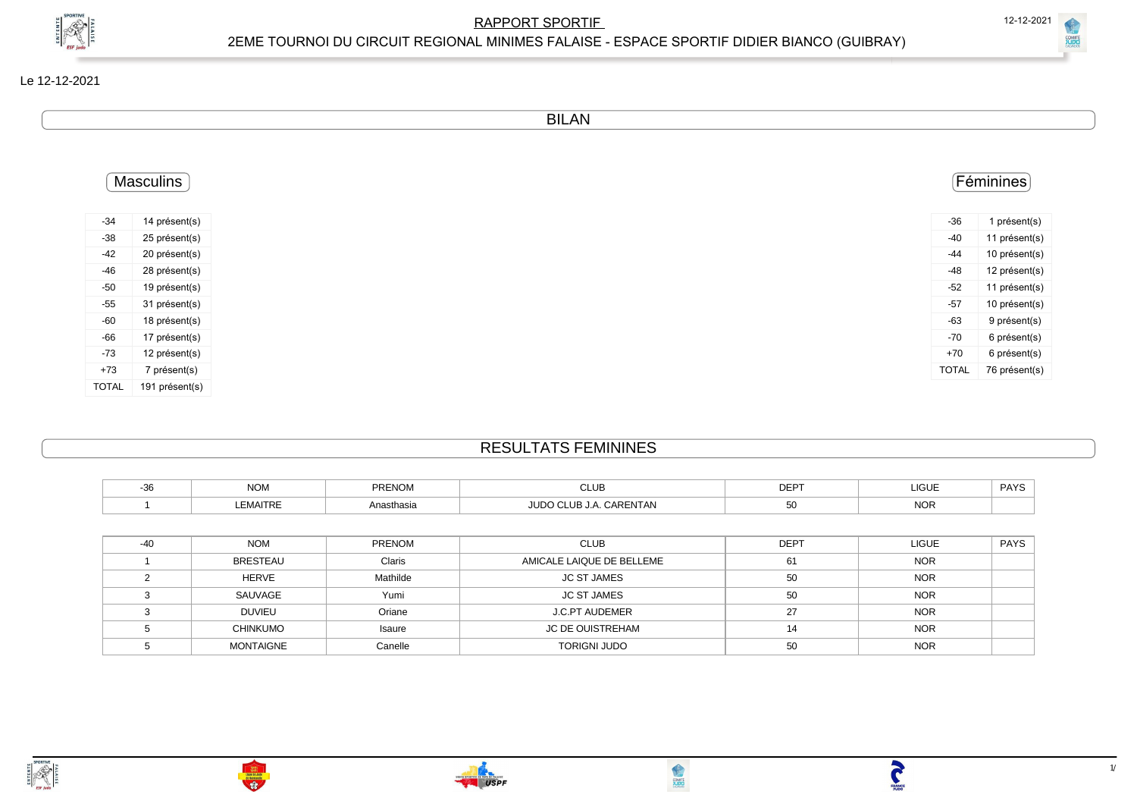

| (GLIIRRAY) |  |
|------------|--|
|            |  |

**CONTROL** 

BILAN

|       | Masculins      |
|-------|----------------|
| $-34$ | 14 présent(s)  |
|       | 25 présent(s)  |
|       | 20 présent(s)  |
|       | 28 présent(s)  |
|       | 19 présent(s)  |
|       | 31 présent(s)  |
|       | 18 présent(s)  |
|       | 17 présent(s)  |
|       | 12 présent(s)  |
|       | 7 présent(s)   |
|       | 191 présent(s) |

## RESULTATS FEMININES

| ົ<br>- 30 | $\sim$<br><b>INUM</b> | <b>PRENOM</b> | C11F<br>◡∟∪⊏     | <b>DEPT</b> | <b>LIGUE</b><br>___  | <b>PAYS</b> |
|-----------|-----------------------|---------------|------------------|-------------|----------------------|-------------|
|           | EMAITRE               | Anasthasia    | .ilip⁄<br>∴ENTAN |             | $\sim$<br><b>NUR</b> |             |

| $-40$ | <b>NOM</b>       | <b>PRENOM</b> | <b>CLUB</b>               | <b>DEPT</b> | <b>LIGUE</b> | <b>PAYS</b> |
|-------|------------------|---------------|---------------------------|-------------|--------------|-------------|
|       | <b>BRESTEAU</b>  | Claris        | AMICALE LAIQUE DE BELLEME | 61          | <b>NOR</b>   |             |
|       | <b>HERVE</b>     | Mathilde      | <b>JC ST JAMES</b>        | 50          | <b>NOR</b>   |             |
|       | SAUVAGE          | Yumi          | <b>JC ST JAMES</b>        | 50          | <b>NOR</b>   |             |
|       | <b>DUVIEU</b>    | Oriane        | <b>J.C.PT AUDEMER</b>     | 27          | <b>NOR</b>   |             |
|       | <b>CHINKUMO</b>  | Isaure        | <b>JC DE OUISTREHAM</b>   | 14          | <b>NOR</b>   |             |
|       | <b>MONTAIGNE</b> | Canelle       | <b>TORIGNI JUDO</b>       | 50          | <b>NOR</b>   |             |





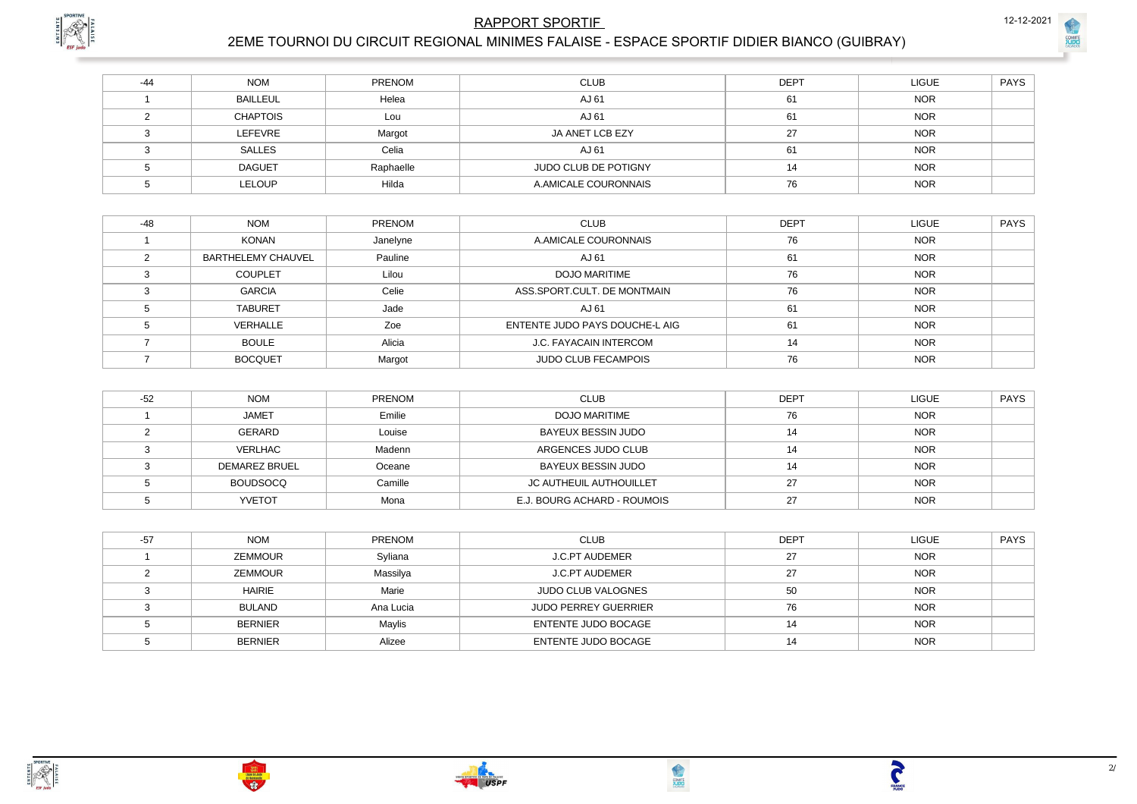

# **RAPPORT SPORTIF**

COMIT

# 2EME TOURNOI DU CIRCUIT REGIONAL MINIMES FALAISE - ESPACE SPORTIF DIDIER BIANCO (GUIBRAY)

| $-44$ | <b>NOM</b>      | <b>PRENOM</b> | <b>CLUB</b>          | <b>DEPT</b> | <b>LIGUE</b> | <b>PAYS</b> |
|-------|-----------------|---------------|----------------------|-------------|--------------|-------------|
|       | <b>BAILLEUL</b> | Helea         | AJ 61                | 61          | <b>NOR</b>   |             |
|       | <b>CHAPTOIS</b> | Lou           | AJ 61                | 61          | <b>NOR</b>   |             |
|       | <b>LEFEVRE</b>  | Margot        | JA ANET LCB EZY      | 27          | <b>NOR</b>   |             |
|       | SALLES          | Celia         | AJ 61                | 61          | <b>NOR</b>   |             |
|       | <b>DAGUET</b>   | Raphaelle     | JUDO CLUB DE POTIGNY | 14          | <b>NOR</b>   |             |
|       | <b>LELOUP</b>   | Hilda         | A.AMICALE COURONNAIS | 76          | <b>NOR</b>   |             |

| $-48$ | <b>NOM</b>                | <b>PRENOM</b> | <b>CLUB</b>                    | <b>DEPT</b> | <b>LIGUE</b> | <b>PAYS</b> |
|-------|---------------------------|---------------|--------------------------------|-------------|--------------|-------------|
|       | <b>KONAN</b>              | Janelyne      | A.AMICALE COURONNAIS           | 76          | <b>NOR</b>   |             |
|       | <b>BARTHELEMY CHAUVEL</b> | Pauline       | AJ 61                          | 61          | <b>NOR</b>   |             |
|       | <b>COUPLET</b>            | Lilou         | <b>DOJO MARITIME</b>           | 76          | <b>NOR</b>   |             |
|       | <b>GARCIA</b>             | Celie         | ASS.SPORT.CULT. DE MONTMAIN    | 76          | <b>NOR</b>   |             |
|       | <b>TABURET</b>            | Jade          | AJ 61                          | 61          | <b>NOR</b>   |             |
|       | VERHALLE                  | Zoe           | ENTENTE JUDO PAYS DOUCHE-L AIG | 61          | <b>NOR</b>   |             |
|       | <b>BOULE</b>              | Alicia        | J.C. FAYACAIN INTERCOM         | 14          | <b>NOR</b>   |             |
|       | <b>BOCQUET</b>            | Margot        | <b>JUDO CLUB FECAMPOIS</b>     | 76          | <b>NOR</b>   |             |

| $-52$ | <b>NOM</b>           | PRENOM  | <b>CLUB</b>                 | <b>DEPT</b> | <b>LIGUE</b> | <b>PAYS</b> |
|-------|----------------------|---------|-----------------------------|-------------|--------------|-------------|
|       | <b>JAMET</b>         | Emilie  | <b>DOJO MARITIME</b>        | 76          | <b>NOR</b>   |             |
|       | GERARD               | Louise  | BAYEUX BESSIN JUDO          |             | <b>NOR</b>   |             |
|       | VERLHAC              | Madenn  | ARGENCES JUDO CLUB          |             | <b>NOR</b>   |             |
|       | <b>DEMAREZ BRUEL</b> | Oceane  | BAYEUX BESSIN JUDO          | 14          | <b>NOR</b>   |             |
|       | <b>BOUDSOCQ</b>      | Camille | JC AUTHEUIL AUTHOUILLET     | דר          | <b>NOR</b>   |             |
|       | <b>YVETOT</b>        | Mona    | E.J. BOURG ACHARD - ROUMOIS | ົ           | <b>NOR</b>   |             |

| $-57$ | <b>NOM</b>     | <b>PRENOM</b> | <b>CLUB</b>                 | <b>DEPT</b> | <b>LIGUE</b> | <b>PAYS</b> |
|-------|----------------|---------------|-----------------------------|-------------|--------------|-------------|
|       | <b>ZEMMOUR</b> | Syliana       | J.C.PT AUDEMER              | 27          | <b>NOR</b>   |             |
|       | <b>ZEMMOUR</b> | Massilya      | <b>J.C.PT AUDEMER</b>       | 27          | <b>NOR</b>   |             |
|       | <b>HAIRIE</b>  | Marie         | <b>JUDO CLUB VALOGNES</b>   | 50          | <b>NOR</b>   |             |
|       | BULAND         | Ana Lucia     | <b>JUDO PERREY GUERRIER</b> | 76          | <b>NOR</b>   |             |
|       | <b>BERNIER</b> | Maylis        | ENTENTE JUDO BOCAGE         | 14          | <b>NOR</b>   |             |
|       | <b>BERNIER</b> | Alizee        | ENTENTE JUDO BOCAGE         | 14          | <b>NOR</b>   |             |







**TANGE**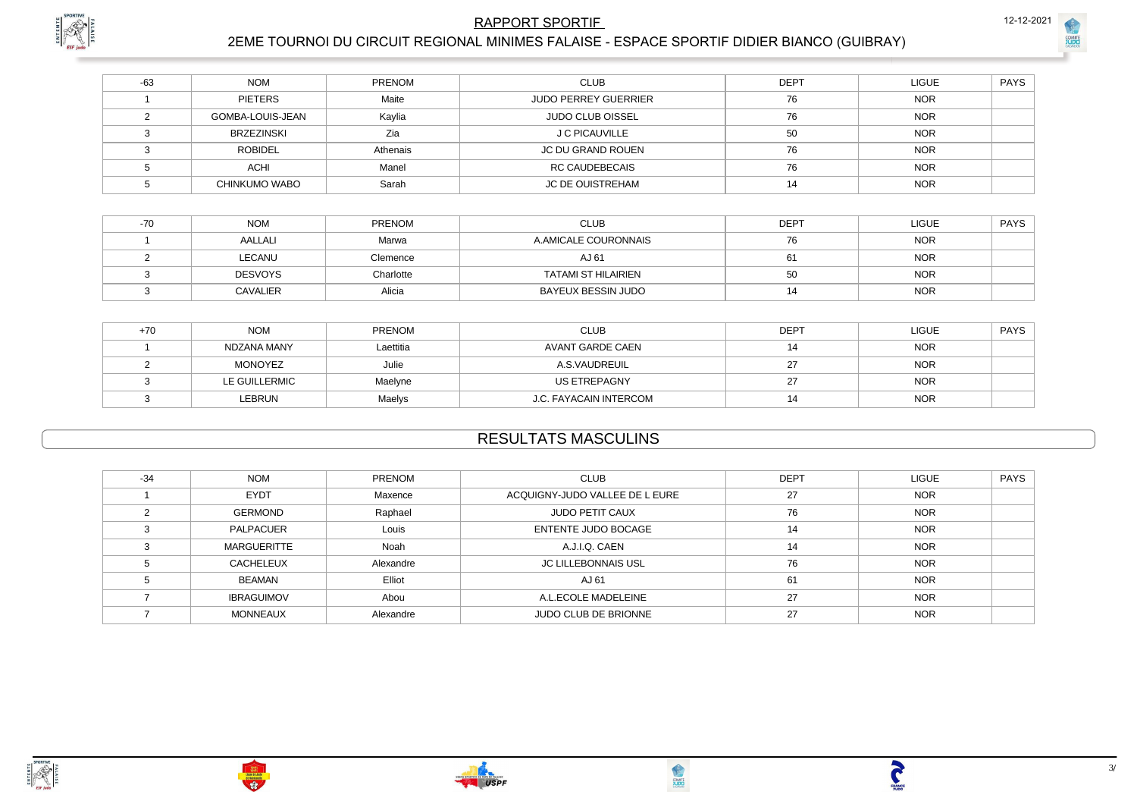

**COMIT** 

## **RAPPORT SPORTIF**



## 2EME TOURNOI DU CIRCUIT REGIONAL MINIMES FALAISE - ESPACE SPORTIF DIDIER BIANCO (GUIBRAY)

| $-63$ | <b>NOM</b>           | PRENOM   | <b>CLUB</b>                 | <b>DEPT</b> | <b>LIGUE</b> | <b>PAYS</b> |
|-------|----------------------|----------|-----------------------------|-------------|--------------|-------------|
|       | PIETERS              | Maite    | <b>JUDO PERREY GUERRIER</b> | 76          | <b>NOR</b>   |             |
|       | GOMBA-LOUIS-JEAN     | Kaylia   | <b>JUDO CLUB OISSEL</b>     | 76          | <b>NOR</b>   |             |
|       | <b>BRZEZINSKI</b>    | Zia      | J C PICAUVILLE              | 50          | <b>NOR</b>   |             |
|       | <b>ROBIDEL</b>       | Athenais | <b>JC DU GRAND ROUEN</b>    | 76          | <b>NOR</b>   |             |
|       | <b>ACHI</b>          | Manel    | <b>RC CAUDEBECAIS</b>       | 76          | <b>NOR</b>   |             |
|       | <b>CHINKUMO WABO</b> | Sarah    | <b>JC DE OUISTREHAM</b>     | 14          | <b>NOR</b>   |             |

| -70 | <b>NOM</b>      | <b>PRENOM</b> | <b>CLUB</b>                | <b>DEPT</b> | <b>LIGUE</b> | <b>PAYS</b> |
|-----|-----------------|---------------|----------------------------|-------------|--------------|-------------|
|     | AALLALI         | Marwa         | A.AMICALE COURONNAIS       | 76          | <b>NOR</b>   |             |
|     | LECANU          | Clemence      | AJ 61                      | 61          | <b>NOR</b>   |             |
|     | <b>DESVOYS</b>  | Charlotte     | <b>TATAMI ST HILAIRIEN</b> | 50          | <b>NOR</b>   |             |
|     | <b>CAVALIER</b> | Alicia        | BAYEUX BESSIN JUDO         |             | <b>NOR</b>   |             |

| +70 | <b>NOM</b>    | <b>PRENOM</b> | <b>CLUB</b>            | <b>DEPT</b> | LIGUE      | <b>PAYS</b> |
|-----|---------------|---------------|------------------------|-------------|------------|-------------|
|     | NDZANA MANY   | Laettitia     | AVANT GARDE CAEN       |             | <b>NOR</b> |             |
|     | MONOYEZ       | Julie         | A.S.VAUDREUIL          |             | <b>NOR</b> |             |
|     | LE GUILLERMIC | Maelyne       | US ETREPAGNY           |             | <b>NOR</b> |             |
|     | <b>LEBRUN</b> | Maelys        | J.C. FAYACAIN INTERCOM | 14          | <b>NOR</b> |             |

# **RESULTATS MASCULINS**

| $-34$ | <b>NOM</b>         | PRENOM    | <b>CLUB</b>                    | <b>DEPT</b> | <b>LIGUE</b> | <b>PAYS</b> |
|-------|--------------------|-----------|--------------------------------|-------------|--------------|-------------|
|       | <b>EYDT</b>        | Maxence   | ACQUIGNY-JUDO VALLEE DE L EURE | 27          | <b>NOR</b>   |             |
|       | <b>GERMOND</b>     | Raphael   | JUDO PETIT CAUX                | 76          | <b>NOR</b>   |             |
|       | PALPACUER          | Louis     | ENTENTE JUDO BOCAGE            | 14          | <b>NOR</b>   |             |
|       | <b>MARGUERITTE</b> | Noah      | A.J.I.Q. CAEN                  | 14          | <b>NOR</b>   |             |
|       | <b>CACHELEUX</b>   | Alexandre | <b>JC LILLEBONNAIS USL</b>     | 76          | <b>NOR</b>   |             |
|       | <b>BEAMAN</b>      | Elliot    | AJ 61                          | 61          | <b>NOR</b>   |             |
|       | <b>IBRAGUIMOV</b>  | Abou      | A.L.ECOLE MADELEINE            | 27          | <b>NOR</b>   |             |
|       | <b>MONNEAUX</b>    | Alexandre | <b>JUDO CLUB DE BRIONNE</b>    | 27          | <b>NOR</b>   |             |



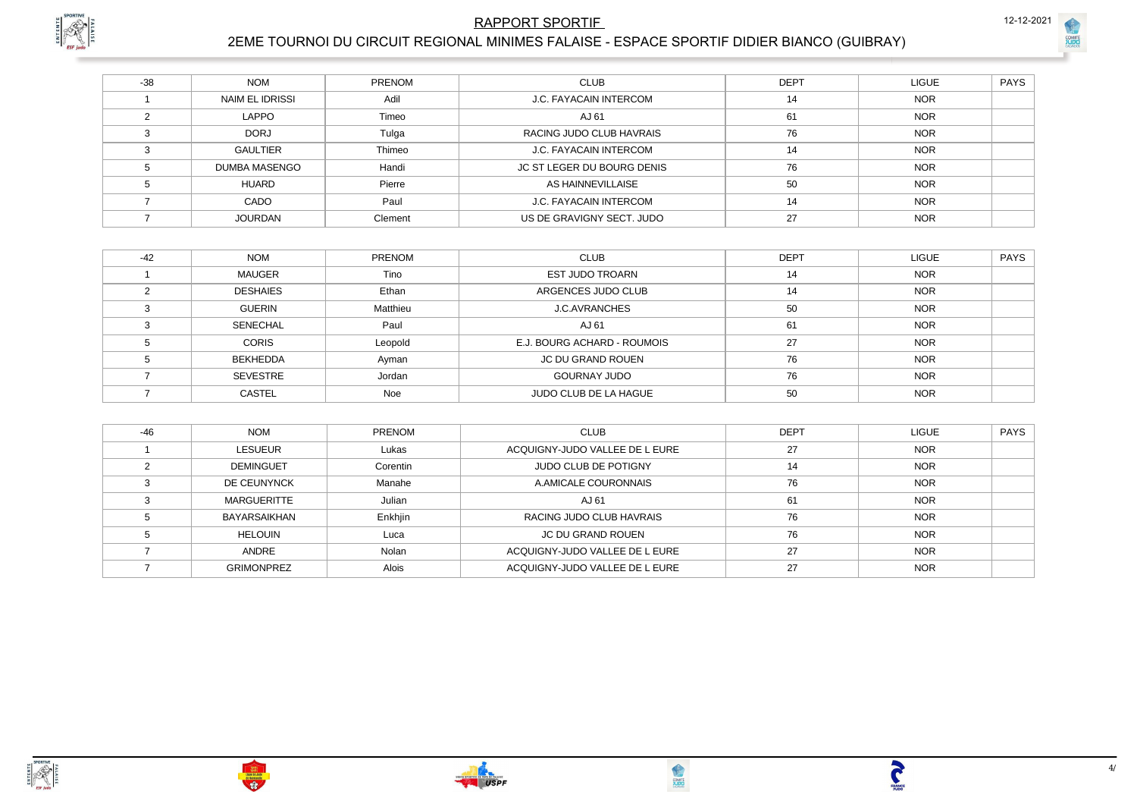## **RAPPORT SPORTIF**



# 2EME TOURNOI DU CIRCUIT REGIONAL MINIMES FALAISE - ESPACE SPORTIF DIDIER BIANCO (GUIBRAY)

| $-38$ | <b>NOM</b>             | <b>PRENOM</b> | <b>CLUB</b>                | <b>DEPT</b> | <b>LIGUE</b> | PAYS |
|-------|------------------------|---------------|----------------------------|-------------|--------------|------|
|       | <b>NAIM EL IDRISSI</b> | Adil          | J.C. FAYACAIN INTERCOM     | 14          | <b>NOR</b>   |      |
|       | <b>LAPPO</b>           | Timeo         | AJ 61                      | 61          | <b>NOR</b>   |      |
|       | <b>DORJ</b>            | Tulga         | RACING JUDO CLUB HAVRAIS   | 76          | <b>NOR</b>   |      |
|       | <b>GAULTIER</b>        | Thimeo        | J.C. FAYACAIN INTERCOM     | 14          | <b>NOR</b>   |      |
|       | DUMBA MASENGO          | Handi         | JC ST LEGER DU BOURG DENIS | 76          | <b>NOR</b>   |      |
|       | <b>HUARD</b>           | Pierre        | AS HAINNEVILLAISE          | 50          | <b>NOR</b>   |      |
|       | CADO                   | Paul          | J.C. FAYACAIN INTERCOM     | 14          | <b>NOR</b>   |      |
|       | <b>JOURDAN</b>         | Clement       | US DE GRAVIGNY SECT. JUDO  | 27          | <b>NOR</b>   |      |

| $-42$ | <b>NOM</b>      | PRENOM   | <b>CLUB</b>                 | <b>DEPT</b> | <b>LIGUE</b> | <b>PAYS</b> |
|-------|-----------------|----------|-----------------------------|-------------|--------------|-------------|
|       | <b>MAUGER</b>   | Tino     | <b>EST JUDO TROARN</b>      | 14          | <b>NOR</b>   |             |
|       | <b>DESHAIES</b> | Ethan    | ARGENCES JUDO CLUB          | 14          | <b>NOR</b>   |             |
|       | <b>GUERIN</b>   | Matthieu | <b>J.C.AVRANCHES</b>        | 50          | <b>NOR</b>   |             |
|       | <b>SENECHAL</b> | Paul     | AJ 61                       | 61          | <b>NOR</b>   |             |
|       | <b>CORIS</b>    | Leopold  | E.J. BOURG ACHARD - ROUMOIS | 27          | <b>NOR</b>   |             |
|       | BEKHEDDA        | Ayman    | JC DU GRAND ROUEN           | 76          | <b>NOR</b>   |             |
|       | SEVESTRE        | Jordan   | <b>GOURNAY JUDO</b>         | 76          | <b>NOR</b>   |             |
|       | <b>CASTEL</b>   | Noe      | JUDO CLUB DE LA HAGUE       | 50          | <b>NOR</b>   |             |

| $-46$ | <b>NOM</b>         | <b>PRENOM</b> | <b>CLUB</b>                    | <b>DEPT</b> | <b>LIGUE</b> | <b>PAYS</b> |
|-------|--------------------|---------------|--------------------------------|-------------|--------------|-------------|
|       | <b>LESUEUR</b>     | Lukas         | ACQUIGNY-JUDO VALLEE DE L EURE | 27          | <b>NOR</b>   |             |
|       | <b>DEMINGUET</b>   | Corentin      | <b>JUDO CLUB DE POTIGNY</b>    | 14          | <b>NOR</b>   |             |
|       | DE CEUNYNCK        | Manahe        | A.AMICALE COURONNAIS           | 76          | <b>NOR</b>   |             |
|       | <b>MARGUERITTE</b> | Julian        | AJ 61                          | 61          | <b>NOR</b>   |             |
|       | BAYARSAIKHAN       | Enkhjin       | RACING JUDO CLUB HAVRAIS       | 76          | <b>NOR</b>   |             |
|       | <b>HELOUIN</b>     | Luca          | <b>JC DU GRAND ROUEN</b>       | 76          | <b>NOR</b>   |             |
|       | <b>ANDRE</b>       | Nolan         | ACQUIGNY-JUDO VALLEE DE L EURE | 27          | <b>NOR</b>   |             |
|       | <b>GRIMONPREZ</b>  | <b>Alois</b>  | ACQUIGNY-JUDO VALLEE DE L EURE | 27          | <b>NOR</b>   |             |





 $4/$ 

**TANCE** 

12-12-2021

COMIT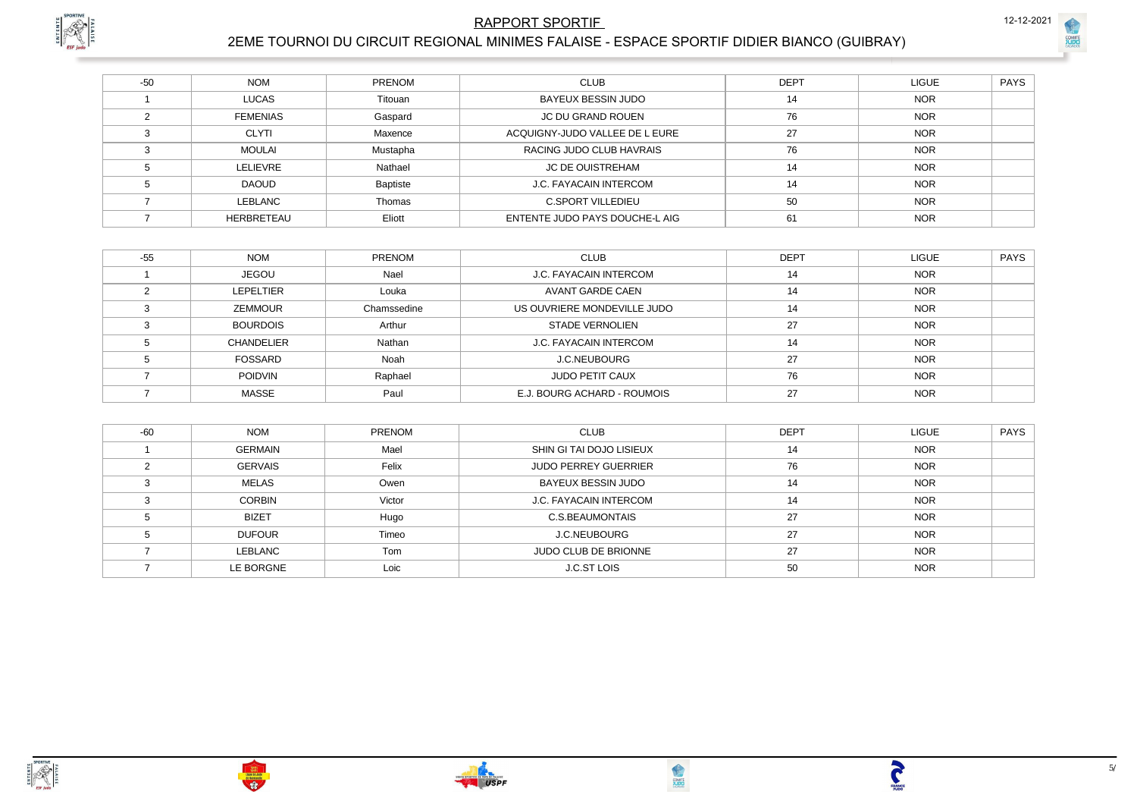## **RAPPORT SPORTIF**

# 2EME TOURNOI DU CIRCUIT REGIONAL MINIMES FALAISE - ESPACE SPORTIF DIDIER BIANCO (GUIBRAY)

| $-50$ | <b>NOM</b>        | PRENOM   | <b>CLUB</b>                    | <b>DEPT</b> | <b>LIGUE</b> | PAYS |
|-------|-------------------|----------|--------------------------------|-------------|--------------|------|
|       | <b>LUCAS</b>      | Titouan  | BAYEUX BESSIN JUDO             | 14          | <b>NOR</b>   |      |
|       | <b>FEMENIAS</b>   | Gaspard  | JC DU GRAND ROUEN              | 76          | <b>NOR</b>   |      |
|       | <b>CLYTI</b>      | Maxence  | ACQUIGNY-JUDO VALLEE DE L EURE | 27          | <b>NOR</b>   |      |
|       | MOULAI            | Mustapha | RACING JUDO CLUB HAVRAIS       | 76          | <b>NOR</b>   |      |
|       | LELIEVRE          | Nathael  | JC DE OUISTREHAM               | 14          | <b>NOR</b>   |      |
|       | <b>DAOUD</b>      | Baptiste | J.C. FAYACAIN INTERCOM         | 14          | <b>NOR</b>   |      |
|       | LEBLANC           | Thomas   | <b>C.SPORT VILLEDIEU</b>       | 50          | <b>NOR</b>   |      |
|       | <b>HERBRETEAU</b> | Eliott   | ENTENTE JUDO PAYS DOUCHE-L AIG | 61          | <b>NOR</b>   |      |

| $-55$ | <b>NOM</b>        | <b>PRENOM</b> | <b>CLUB</b>                 | <b>DEPT</b> | <b>LIGUE</b> | PAYS |
|-------|-------------------|---------------|-----------------------------|-------------|--------------|------|
|       | <b>JEGOU</b>      | Nael          | J.C. FAYACAIN INTERCOM      | 14          | <b>NOR</b>   |      |
|       | LEPELTIER         | Louka         | AVANT GARDE CAEN            | 14          | <b>NOR</b>   |      |
|       | <b>ZEMMOUR</b>    | Chamssedine   | US OUVRIERE MONDEVILLE JUDO | 14          | <b>NOR</b>   |      |
|       | <b>BOURDOIS</b>   | Arthur        | <b>STADE VERNOLIEN</b>      | 27          | <b>NOR</b>   |      |
|       | <b>CHANDELIER</b> | Nathan        | J.C. FAYACAIN INTERCOM      | 14          | <b>NOR</b>   |      |
|       | FOSSARD           | Noah          | J.C.NEUBOURG                | 27          | <b>NOR</b>   |      |
|       | <b>POIDVIN</b>    | Raphael       | <b>JUDO PETIT CAUX</b>      | 76          | <b>NOR</b>   |      |
|       | <b>MASSE</b>      | Paul          | E.J. BOURG ACHARD - ROUMOIS | 27          | <b>NOR</b>   |      |

| $-60$ | <b>NOM</b>     | PRENOM | <b>CLUB</b>                   | <b>DEPT</b> | <b>LIGUE</b> | <b>PAYS</b> |
|-------|----------------|--------|-------------------------------|-------------|--------------|-------------|
|       | <b>GERMAIN</b> | Mael   | SHIN GI TAI DOJO LISIEUX      | 14          | <b>NOR</b>   |             |
|       | <b>GERVAIS</b> | Felix  | <b>JUDO PERREY GUERRIER</b>   | 76          | <b>NOR</b>   |             |
|       | MELAS          | Owen   | BAYEUX BESSIN JUDO            | 14          | <b>NOR</b>   |             |
|       | <b>CORBIN</b>  | Victor | <b>J.C. FAYACAIN INTERCOM</b> | 14          | <b>NOR</b>   |             |
|       | <b>BIZET</b>   | Hugo   | C.S.BEAUMONTAIS               | 27          | <b>NOR</b>   |             |
|       | <b>DUFOUR</b>  | Timeo  | J.C.NEUBOURG                  | 27          | <b>NOR</b>   |             |
|       | LEBLANC        | Tom    | <b>JUDO CLUB DE BRIONNE</b>   | 27          | <b>NOR</b>   |             |
|       | LE BORGNE      | Loic   | J.C.ST LOIS                   | 50          | <b>NOR</b>   |             |







 $5/$ 

**TANGE** 

12-12-2021

COMIT